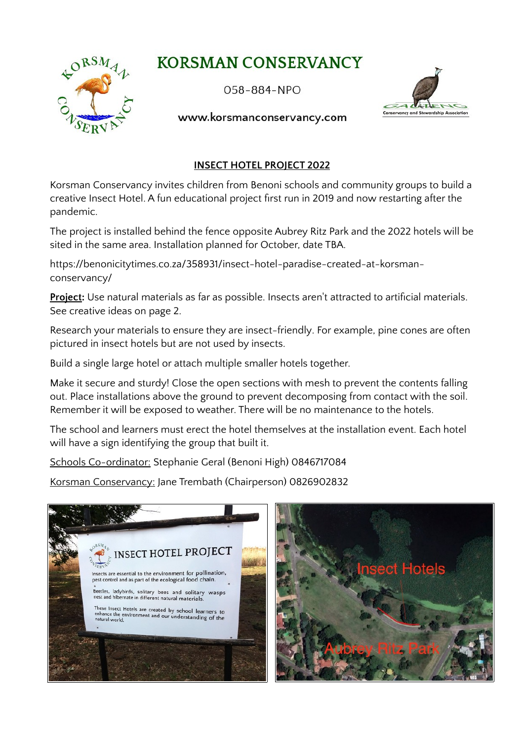# **KORSMAN CONSERVANCY**



## $058 - 884 - NPO$



#### www.korsmanconservancy.com

## **INSECT HOTEL PROJECT 2022**

Korsman Conservancy invites children from Benoni schools and community groups to build a creative Insect Hotel. A fun educational project first run in 2019 and now restarting after the pandemic.

The project is installed behind the fence opposite Aubrey Ritz Park and the 2022 hotels will be sited in the same area. Installation planned for October, date TBA.

https://benonicitytimes.co.za/358931/insect-hotel-paradise-created-at-korsmanconservancy/

**Project:** Use natural materials as far as possible. Insects aren't attracted to artificial materials. See creative ideas on page 2.

Research your materials to ensure they are insect-friendly. For example, pine cones are often pictured in insect hotels but are not used by insects.

Build a single large hotel or attach multiple smaller hotels together.

Make it secure and sturdy! Close the open sections with mesh to prevent the contents falling out. Place installations above the ground to prevent decomposing from contact with the soil. Remember it will be exposed to weather. There will be no maintenance to the hotels.

The school and learners must erect the hotel themselves at the installation event. Each hotel will have a sign identifying the group that built it.

Schools Co-ordinator: Stephanie Geral (Benoni High) 0846717084

Korsman Conservancy: Jane Trembath (Chairperson) 0826902832